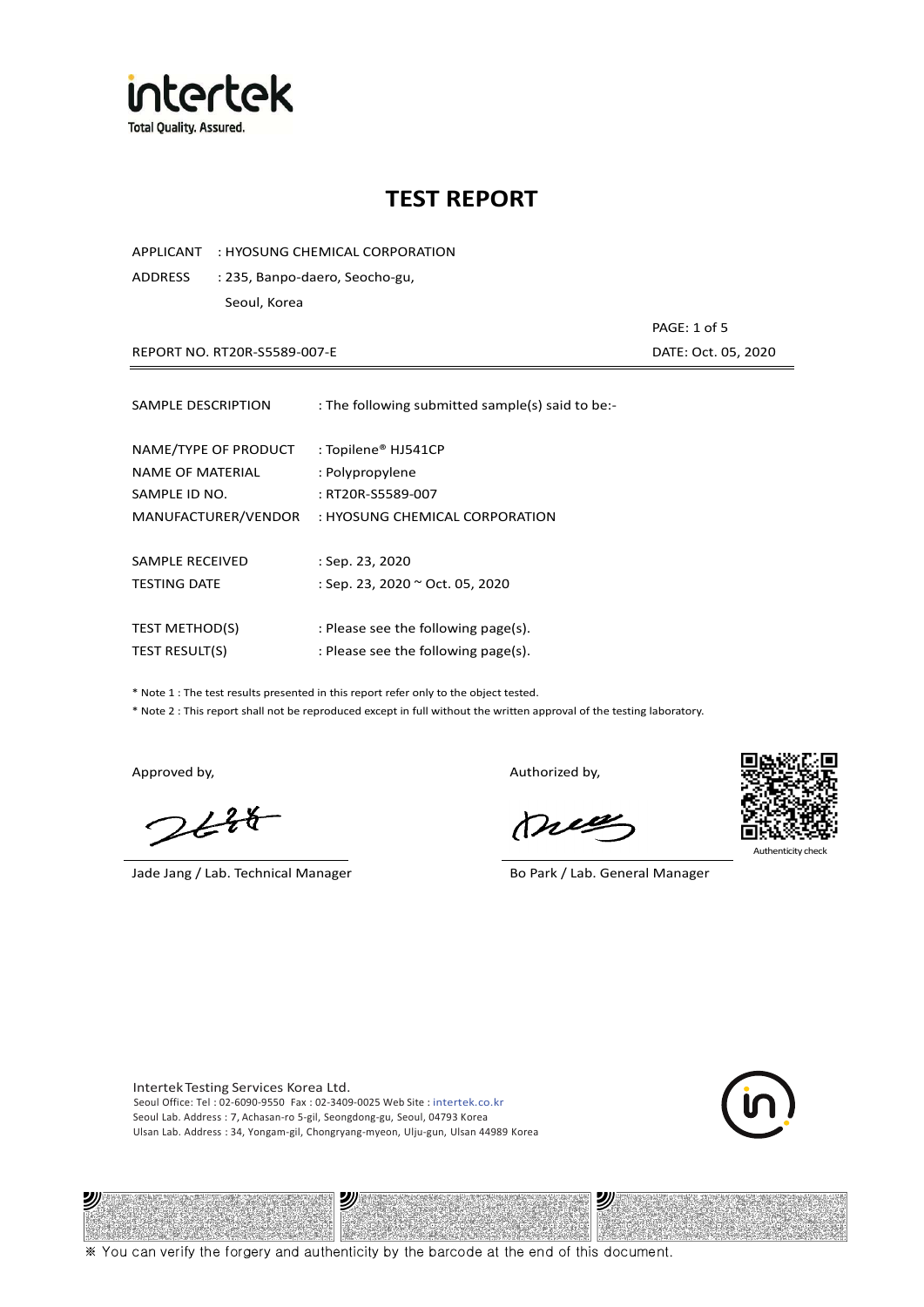

APPLICANT : HYOSUNG CHEMICAL CORPORATION

ADDRESS : 235, Banpo-daero, Seocho-gu, Seoul, Korea

REPORT NO. RT20R-S5589-007-E DATE: Oct. 05, 2020

PAGE: 1 of 5

| SAMPLE DESCRIPTION                                        | : The following submitted sample(s) said to be:-            |
|-----------------------------------------------------------|-------------------------------------------------------------|
| NAME/TYPE OF PRODUCT<br>NAME OF MATERIAL<br>SAMPLE ID NO. | : Topilene® HJ541CP<br>: Polypropylene<br>: RT20R-S5589-007 |
| MANUFACTURER/VENDOR                                       | : HYOSUNG CHEMICAL CORPORATION                              |
|                                                           |                                                             |
| SAMPLE RECEIVED                                           | : Sep. 23, 2020                                             |
| <b>TESTING DATE</b>                                       | : Sep. 23, 2020 ~ Oct. 05, 2020                             |
|                                                           |                                                             |
| <b>TEST METHOD(S)</b>                                     | : Please see the following page(s).                         |
| <b>TEST RESULT(S)</b>                                     | : Please see the following page(s).                         |

\* Note 1 : The test results presented in this report refer only to the object tested.

\* Note 2 : This report shall not be reproduced except in full without the written approval of the testing laboratory.

ツル

 $2648$ 

Jade Jang / Lab. Technical Manager Bo Park / Lab. General Manager

Approved by, and the control of the control of the Authorized by,

Mie

沙



Intertek Testing Services Korea Ltd. Seoul Office: Tel : 02-6090-9550 Fax : 02-3409-0025 Web Site : intertek.co.kr Seoul Lab. Address : 7, Achasan-ro 5-gil, Seongdong-gu, Seoul, 04793 Korea Ulsan Lab. Address : 34, Yongam-gil, Chongryang-myeon, Ulju-gun, Ulsan 44989 Korea

沙



※ You can verify the forgery and authenticity by the barcode at the end of this document.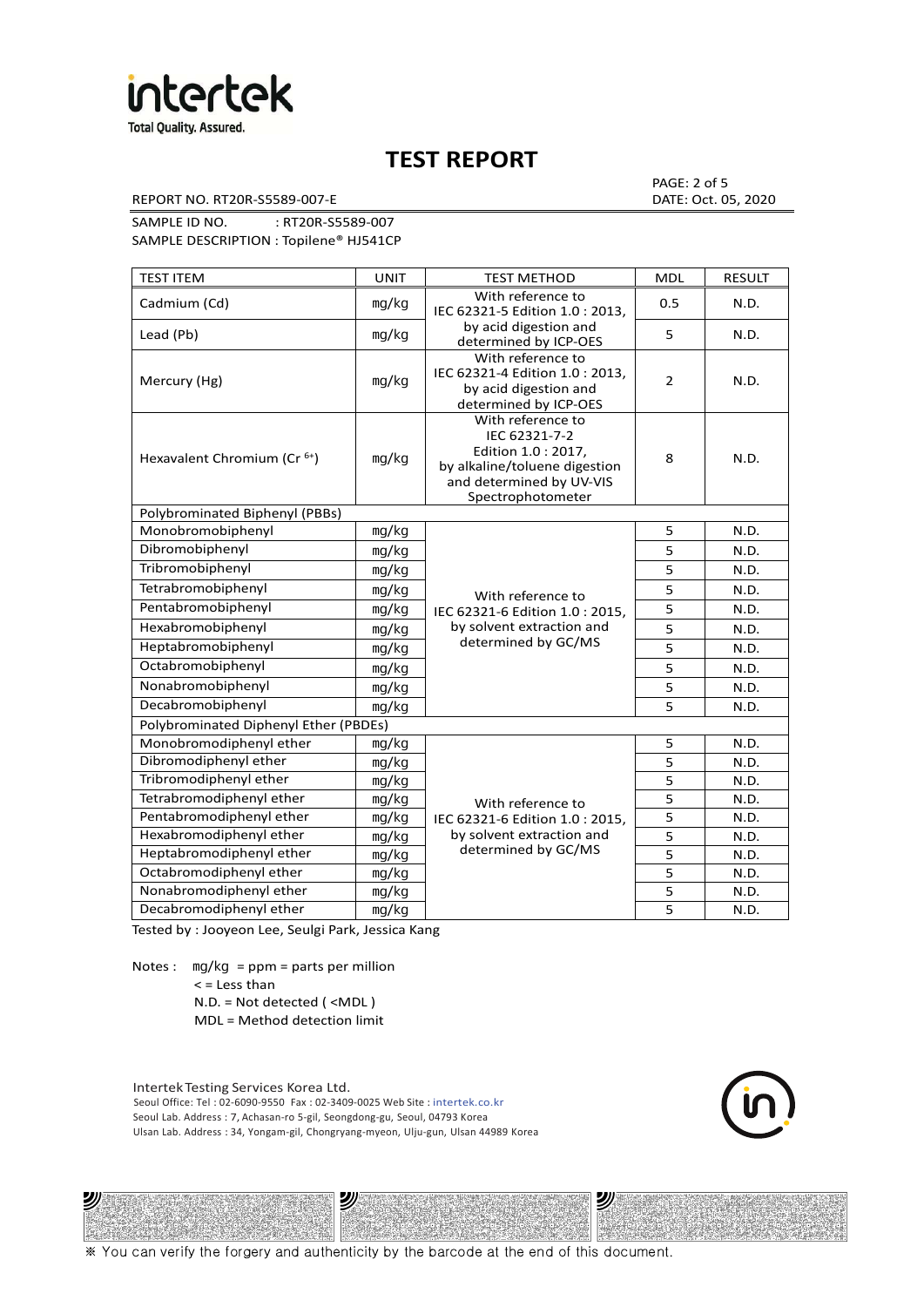

REPORT NO. RT20R-S5589-007-E DATE: Oct. 05, 2020

PAGE: 2 of 5

SAMPLE ID NO. : RT20R-S5589-007 SAMPLE DESCRIPTION : Topilene® HJ541CP

| <b>TEST ITEM</b>                        | <b>UNIT</b> | <b>TEST METHOD</b>                                                                                                                          | <b>MDL</b>     | <b>RESULT</b> |
|-----------------------------------------|-------------|---------------------------------------------------------------------------------------------------------------------------------------------|----------------|---------------|
| Cadmium (Cd)                            | mg/kg       | With reference to<br>IEC 62321-5 Edition 1.0 : 2013,                                                                                        | 0.5            | N.D.          |
| Lead (Pb)                               | mg/kg       | by acid digestion and<br>determined by ICP-OES                                                                                              | 5              | N.D.          |
| Mercury (Hg)                            | mg/kg       | With reference to<br>IEC 62321-4 Edition 1.0: 2013,<br>by acid digestion and<br>determined by ICP-OES                                       | $\overline{2}$ | N.D.          |
| Hexavalent Chromium (Cr <sup>6+</sup> ) | mg/kg       | With reference to<br>IEC 62321-7-2<br>Edition 1.0 : 2017,<br>by alkaline/toluene digestion<br>and determined by UV-VIS<br>Spectrophotometer | 8              | N.D.          |
| Polybrominated Biphenyl (PBBs)          |             |                                                                                                                                             |                |               |
| Monobromobiphenyl                       | mg/kg       |                                                                                                                                             | 5              | N.D.          |
| Dibromobiphenyl                         | mg/kg       |                                                                                                                                             | 5              | N.D.          |
| Tribromobiphenyl                        | mg/kg       | With reference to<br>IEC 62321-6 Edition 1.0: 2015,                                                                                         | 5              | N.D.          |
| Tetrabromobiphenyl                      | mg/kg       |                                                                                                                                             | 5              | N.D.          |
| Pentabromobiphenyl                      | mg/kg       |                                                                                                                                             | 5              | N.D.          |
| Hexabromobiphenyl                       | mg/kg       | by solvent extraction and                                                                                                                   | 5              | N.D.          |
| Heptabromobiphenyl                      | mg/kg       | determined by GC/MS                                                                                                                         | 5              | N.D.          |
| Octabromobiphenyl                       | mg/kg       |                                                                                                                                             | 5              | N.D.          |
| Nonabromobiphenyl                       | mg/kg       |                                                                                                                                             | 5              | N.D.          |
| Decabromobiphenyl                       | mg/kg       |                                                                                                                                             | 5              | N.D.          |
| Polybrominated Diphenyl Ether (PBDEs)   |             |                                                                                                                                             |                |               |
| Monobromodiphenyl ether                 | mg/kg       |                                                                                                                                             | 5              | N.D.          |
| Dibromodiphenyl ether                   | mg/kg       |                                                                                                                                             | 5              | N.D.          |
| Tribromodiphenyl ether                  | mg/kg       |                                                                                                                                             | 5              | N.D.          |
| Tetrabromodiphenyl ether                | mg/kg       | With reference to                                                                                                                           | 5              | N.D.          |
| Pentabromodiphenyl ether                | mg/kg       | IEC 62321-6 Edition 1.0 : 2015,                                                                                                             | 5              | N.D.          |
| Hexabromodiphenyl ether                 | mg/kg       | by solvent extraction and                                                                                                                   | 5              | N.D.          |
| Heptabromodiphenyl ether                | mg/kg       | determined by GC/MS                                                                                                                         | 5              | N.D.          |
| Octabromodiphenyl ether                 | mg/kg       |                                                                                                                                             | 5              | N.D.          |
| Nonabromodiphenyl ether                 | mg/kg       | 5                                                                                                                                           |                | N.D.          |
| Decabromodiphenyl ether                 | mg/kg       |                                                                                                                                             | 5              | N.D.          |

Tested by : Jooyeon Lee, Seulgi Park, Jessica Kang

Notes : mg/kg = ppm = parts per million  $<$  = Less than

沙

N.D. = Not detected ( <MDL )

MDL = Method detection limit

Intertek Testing Services Korea Ltd. Seoul Office: Tel : 02-6090-9550 Fax : 02-3409-0025 Web Site : intertek.co.kr Seoul Lab. Address : 7, Achasan-ro 5-gil, Seongdong-gu, Seoul, 04793 Korea Ulsan Lab. Address : 34, Yongam-gil, Chongryang-myeon, Ulju-gun, Ulsan 44989 Korea

沙



沙

※ You can verify the forgery and authenticity by the barcode at the end of this document.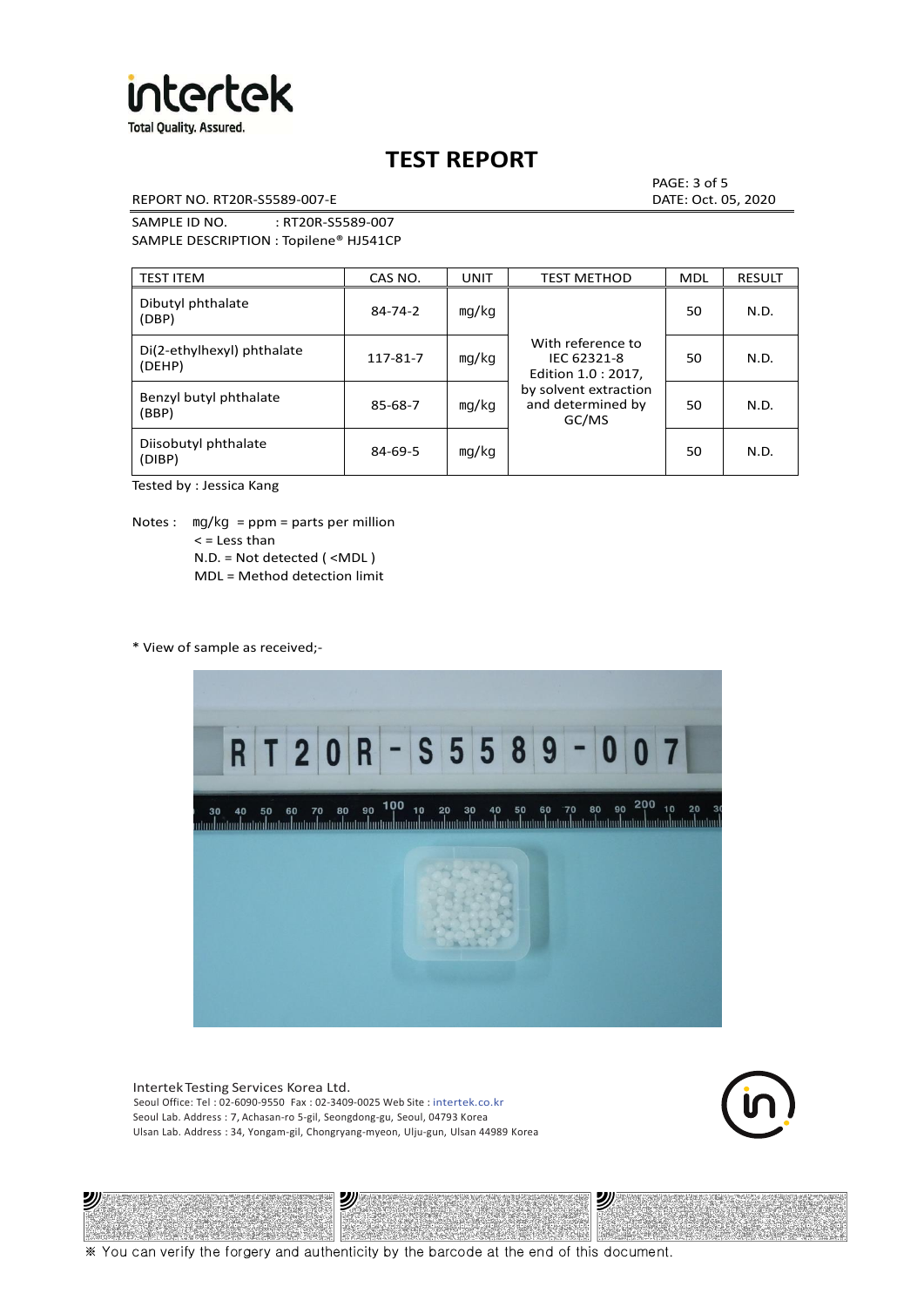

REPORT NO. RT20R-S5589-007-E DATE: Oct. 05, 2020

PAGE: 3 of 5

SAMPLE ID NO. : RT20R-S5589-007 SAMPLE DESCRIPTION : Topilene® HJ541CP

| <b>TEST ITEM</b>                     | CAS NO.       | <b>UNIT</b> | <b>TEST METHOD</b>                                                                                             | <b>MDL</b> | <b>RESULT</b> |
|--------------------------------------|---------------|-------------|----------------------------------------------------------------------------------------------------------------|------------|---------------|
| Dibutyl phthalate<br>(DBP)           | $84 - 74 - 2$ | mg/kg       | With reference to<br>IEC 62321-8<br>Edition 1.0 : 2017,<br>by solvent extraction<br>and determined by<br>GC/MS | 50         | N.D.          |
| Di(2-ethylhexyl) phthalate<br>(DEHP) | 117-81-7      | mg/kg       |                                                                                                                | 50         | N.D.          |
| Benzyl butyl phthalate<br>(BBP)      | 85-68-7       | mg/kg       |                                                                                                                | 50         | N.D.          |
| Diisobutyl phthalate<br>(DIBP)       | $84 - 69 - 5$ | mg/kg       |                                                                                                                | 50         | N.D.          |

Tested by : Jessica Kang

Notes :  $mq/kg = ppm = parts per million$  $<$  = Less than N.D. = Not detected ( <MDL ) MDL = Method detection limit

\* View of sample as received;-

ונש



Intertek Testing Services Korea Ltd. Seoul Office: Tel : 02-6090-9550 Fax : 02-3409-0025 Web Site : intertek.co.kr Seoul Lab. Address : 7, Achasan-ro 5-gil, Seongdong-gu, Seoul, 04793 Korea Ulsan Lab. Address : 34, Yongam-gil, Chongryang-myeon, Ulju-gun, Ulsan 44989 Korea

沙



沙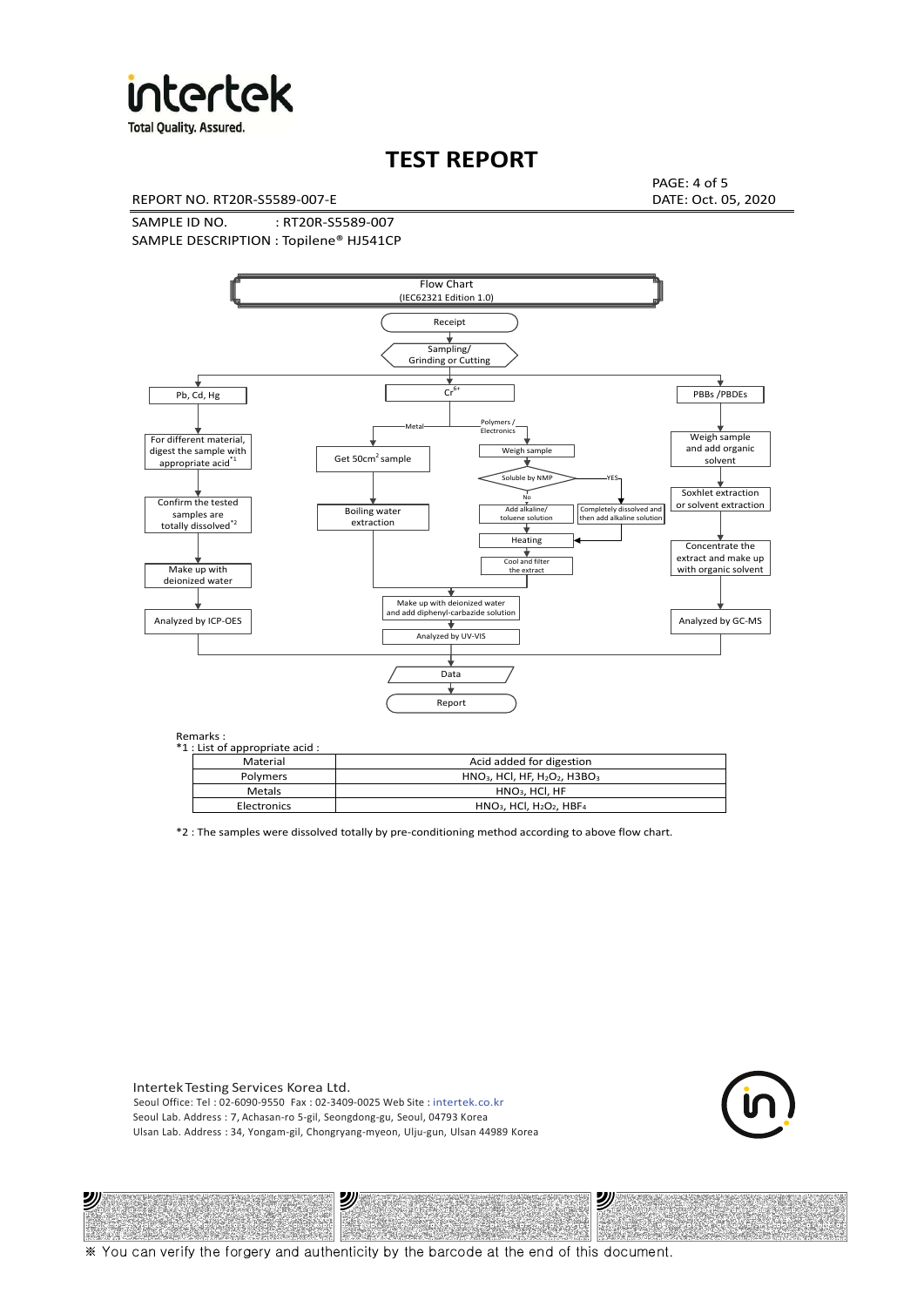

**Total Quality. Assured.** 

# **TEST REPORT**

REPORT NO. RT20R-S5589-007-E DATE: Oct. 05, 2020

PAGE: 4 of 5

SAMPLE ID NO. : RT20R-S5589-007 SAMPLE DESCRIPTION : Topilene® HJ541CP



| *1 : List of appropriate acid : |                                                                     |
|---------------------------------|---------------------------------------------------------------------|
| Material                        | Acid added for digestion                                            |
| Polymers                        | $HNO3$ , HCl, HF, H <sub>2</sub> O <sub>2</sub> , H3BO <sub>3</sub> |
| Metals                          | $HNO3$ . HCl. HF                                                    |
| Electronics                     | $HNO3$ , HCl, H <sub>2</sub> O <sub>2</sub> , HBF <sub>4</sub>      |

\*2 : The samples were dissolved totally by pre-conditioning method according to above flow chart.

Intertek Testing Services Korea Ltd. Seoul Office: Tel : 02-6090-9550 Fax : 02-3409-0025 Web Site : intertek.co.kr Seoul Lab. Address : 7, Achasan-ro 5-gil, Seongdong-gu, Seoul, 04793 Korea Ulsan Lab. Address : 34, Yongam-gil, Chongryang-myeon, Ulju-gun, Ulsan 44989 Korea

沙

沙



沙